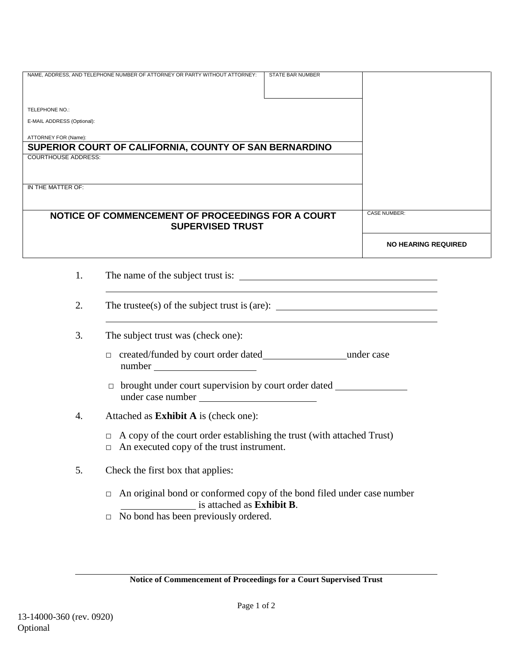|                                                        | NAME, ADDRESS, AND TELEPHONE NUMBER OF ATTORNEY OR PARTY WITHOUT ATTORNEY:                                                                                                                                                                                                                                                                                                                | STATE BAR NUMBER |                            |  |  |  |  |  |
|--------------------------------------------------------|-------------------------------------------------------------------------------------------------------------------------------------------------------------------------------------------------------------------------------------------------------------------------------------------------------------------------------------------------------------------------------------------|------------------|----------------------------|--|--|--|--|--|
|                                                        |                                                                                                                                                                                                                                                                                                                                                                                           |                  |                            |  |  |  |  |  |
| TELEPHONE NO.:                                         |                                                                                                                                                                                                                                                                                                                                                                                           |                  |                            |  |  |  |  |  |
| E-MAIL ADDRESS (Optional):                             |                                                                                                                                                                                                                                                                                                                                                                                           |                  |                            |  |  |  |  |  |
|                                                        |                                                                                                                                                                                                                                                                                                                                                                                           |                  |                            |  |  |  |  |  |
| ATTORNEY FOR (Name):                                   |                                                                                                                                                                                                                                                                                                                                                                                           |                  |                            |  |  |  |  |  |
| SUPERIOR COURT OF CALIFORNIA, COUNTY OF SAN BERNARDINO |                                                                                                                                                                                                                                                                                                                                                                                           |                  |                            |  |  |  |  |  |
| <b>COURTHOUSE ADDRESS:</b>                             |                                                                                                                                                                                                                                                                                                                                                                                           |                  |                            |  |  |  |  |  |
|                                                        |                                                                                                                                                                                                                                                                                                                                                                                           |                  |                            |  |  |  |  |  |
| IN THE MATTER OF:                                      |                                                                                                                                                                                                                                                                                                                                                                                           |                  |                            |  |  |  |  |  |
|                                                        |                                                                                                                                                                                                                                                                                                                                                                                           |                  |                            |  |  |  |  |  |
|                                                        | NOTICE OF COMMENCEMENT OF PROCEEDINGS FOR A COURT                                                                                                                                                                                                                                                                                                                                         |                  | <b>CASE NUMBER:</b>        |  |  |  |  |  |
|                                                        | <b>SUPERVISED TRUST</b>                                                                                                                                                                                                                                                                                                                                                                   |                  |                            |  |  |  |  |  |
|                                                        |                                                                                                                                                                                                                                                                                                                                                                                           |                  |                            |  |  |  |  |  |
|                                                        |                                                                                                                                                                                                                                                                                                                                                                                           |                  | <b>NO HEARING REQUIRED</b> |  |  |  |  |  |
|                                                        |                                                                                                                                                                                                                                                                                                                                                                                           |                  |                            |  |  |  |  |  |
| 1.                                                     |                                                                                                                                                                                                                                                                                                                                                                                           |                  |                            |  |  |  |  |  |
|                                                        |                                                                                                                                                                                                                                                                                                                                                                                           |                  |                            |  |  |  |  |  |
|                                                        |                                                                                                                                                                                                                                                                                                                                                                                           |                  |                            |  |  |  |  |  |
| 2.                                                     | The trustee(s) of the subject trust is (are): $\frac{1}{\sqrt{1-\frac{1}{\sqrt{1-\frac{1}{\sqrt{1-\frac{1}{\sqrt{1-\frac{1}{\sqrt{1-\frac{1}{\sqrt{1-\frac{1}{\sqrt{1-\frac{1}{\sqrt{1-\frac{1}{\sqrt{1-\frac{1}{\sqrt{1-\frac{1}{\sqrt{1-\frac{1}{\sqrt{1-\frac{1}{\sqrt{1-\frac{1}{\sqrt{1-\frac{1}{\sqrt{1-\frac{1}{\sqrt{1-\frac{1}{\sqrt{1-\frac{1}{\sqrt{1-\frac{1}{\sqrt{1-\frac{$ |                  |                            |  |  |  |  |  |
|                                                        |                                                                                                                                                                                                                                                                                                                                                                                           |                  |                            |  |  |  |  |  |
| 3.                                                     | The subject trust was (check one):                                                                                                                                                                                                                                                                                                                                                        |                  |                            |  |  |  |  |  |
|                                                        |                                                                                                                                                                                                                                                                                                                                                                                           |                  |                            |  |  |  |  |  |
|                                                        |                                                                                                                                                                                                                                                                                                                                                                                           |                  |                            |  |  |  |  |  |
|                                                        |                                                                                                                                                                                                                                                                                                                                                                                           |                  |                            |  |  |  |  |  |
|                                                        | brought under court supervision by court order dated ___________________________<br>$\Box$                                                                                                                                                                                                                                                                                                |                  |                            |  |  |  |  |  |
|                                                        |                                                                                                                                                                                                                                                                                                                                                                                           |                  |                            |  |  |  |  |  |
| 4.                                                     | Attached as Exhibit A is (check one):                                                                                                                                                                                                                                                                                                                                                     |                  |                            |  |  |  |  |  |
|                                                        | $\Box$ A copy of the court order establishing the trust (with attached Trust)                                                                                                                                                                                                                                                                                                             |                  |                            |  |  |  |  |  |
|                                                        |                                                                                                                                                                                                                                                                                                                                                                                           |                  |                            |  |  |  |  |  |
|                                                        | $\Box$ An executed copy of the trust instrument.                                                                                                                                                                                                                                                                                                                                          |                  |                            |  |  |  |  |  |
| 5.                                                     | Check the first box that applies:                                                                                                                                                                                                                                                                                                                                                         |                  |                            |  |  |  |  |  |
|                                                        |                                                                                                                                                                                                                                                                                                                                                                                           |                  |                            |  |  |  |  |  |
|                                                        | An original bond or conformed copy of the bond filed under case number<br>$\Box$                                                                                                                                                                                                                                                                                                          |                  |                            |  |  |  |  |  |
|                                                        | is attached as Exhibit B.                                                                                                                                                                                                                                                                                                                                                                 |                  |                            |  |  |  |  |  |
|                                                        | No bond has been previously ordered.<br>$\Box$                                                                                                                                                                                                                                                                                                                                            |                  |                            |  |  |  |  |  |
|                                                        |                                                                                                                                                                                                                                                                                                                                                                                           |                  |                            |  |  |  |  |  |

**Notice of Commencement of Proceedings for a Court Supervised Trust**